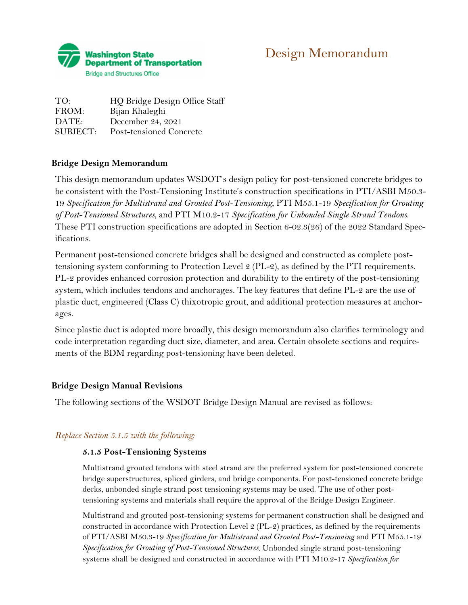

# Design Memorandum

TO: HQ Bridge Design Office Staff FROM: Bijan Khaleghi DATE: December 24, 2021 SUBJECT: Post-tensioned Concrete

# **Bridge Design Memorandum**

This design memorandum updates WSDOT's design policy for post-tensioned concrete bridges to be consistent with the Post-Tensioning Institute's construction specifications in PTI/ASBI M50.3- 19 *Specification for Multistrand and Grouted Post-Tensioning*, PTI M55.1-19 *Specification for Grouting of Post-Tensioned Structures*, and PTI M10.2-17 *Specification for Unbonded Single Strand Tendons*. These PTI construction specifications are adopted in Section 6-02.3(26) of the 2022 Standard Specifications.

Permanent post-tensioned concrete bridges shall be designed and constructed as complete posttensioning system conforming to Protection Level 2 (PL-2), as defined by the PTI requirements. PL-2 provides enhanced corrosion protection and durability to the entirety of the post-tensioning system, which includes tendons and anchorages. The key features that define PL-2 are the use of plastic duct, engineered (Class C) thixotropic grout, and additional protection measures at anchorages.

Since plastic duct is adopted more broadly, this design memorandum also clarifies terminology and code interpretation regarding duct size, diameter, and area. Certain obsolete sections and requirements of the BDM regarding post-tensioning have been deleted.

# **Bridge Design Manual Revisions**

The following sections of the WSDOT Bridge Design Manual are revised as follows:

# *Replace Section 5.1.5 with the following:*

# **5.1.5 Post-Tensioning Systems**

Multistrand grouted tendons with steel strand are the preferred system for post-tensioned concrete bridge superstructures, spliced girders, and bridge components. For post-tensioned concrete bridge decks, unbonded single strand post tensioning systems may be used. The use of other posttensioning systems and materials shall require the approval of the Bridge Design Engineer.

Multistrand and grouted post-tensioning systems for permanent construction shall be designed and constructed in accordance with Protection Level 2 (PL-2) practices, as defined by the requirements of PTI/ASBI M50.3-19 *Specification for Multistrand and Grouted Post-Tensioning* and PTI M55.1-19 *Specification for Grouting of Post-Tensioned Structures*. Unbonded single strand post-tensioning systems shall be designed and constructed in accordance with PTI M10.2-17 *Specification for*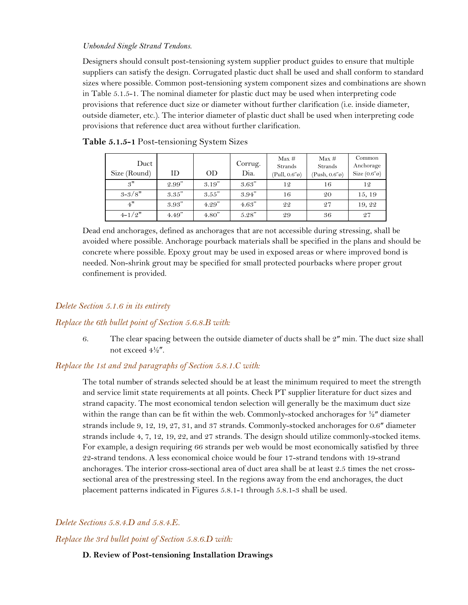#### *Unbonded Single Strand Tendons*.

Designers should consult post-tensioning system supplier product guides to ensure that multiple suppliers can satisfy the design. Corrugated plastic duct shall be used and shall conform to standard sizes where possible. Common post-tensioning system component sizes and combinations are shown in Table 5.1.5-1. The nominal diameter for plastic duct may be used when interpreting code provisions that reference duct size or diameter without further clarification (i.e. inside diameter, outside diameter, etc.). The interior diameter of plastic duct shall be used when interpreting code provisions that reference duct area without further clarification.

| Duct<br>Size (Round) | ID     | <b>OD</b> | Corrug.<br>Dia. | Max#<br><b>Strands</b><br>$(Pull, 0.6" \varnothing)$ | Max#<br>Strands<br>$(Push, 0.6" \emptyset)$ | Common<br>Anchorage<br>Size $(0.6" \circ)$ |
|----------------------|--------|-----------|-----------------|------------------------------------------------------|---------------------------------------------|--------------------------------------------|
| 3"                   | 2.99"  | 3.19''    | 3.63"           | 12                                                   | 16                                          | 12                                         |
| $3 - 3/8"$           | 3.35"  | 3.55"     | 3.94"           | 16                                                   | 20                                          | 15, 19                                     |
| 4"                   | 3.93"  | 4.29''    | 4.63"           | 22                                                   | 27                                          | 19, 22                                     |
| $4 - 1/2"$           | 4.49'' | 4.80''    | 5.28"           | 29                                                   | 36                                          | 27                                         |

#### **Table 5.1.5-1** Post-tensioning System Sizes

Dead end anchorages, defined as anchorages that are not accessible during stressing, shall be avoided where possible. Anchorage pourback materials shall be specified in the plans and should be concrete where possible. Epoxy grout may be used in exposed areas or where improved bond is needed. Non-shrink grout may be specified for small protected pourbacks where proper grout confinement is provided.

### *Delete Section 5.1.6 in its entirety*

#### *Replace the 6th bullet point of Section 5.6.8.B with:*

6. The clear spacing between the outside diameter of ducts shall be  $2<sup>n</sup>$  min. The duct size shall not exceed 4½″.

### *Replace the 1st and 2nd paragraphs of Section 5.8.1.C with:*

The total number of strands selected should be at least the minimum required to meet the strength and service limit state requirements at all points. Check PT supplier literature for duct sizes and strand capacity. The most economical tendon selection will generally be the maximum duct size within the range than can be fit within the web. Commonly-stocked anchorages for  $\frac{1}{2}$ " diameter strands include 9, 12, 19, 27, 31, and 37 strands. Commonly-stocked anchorages for 0.6″ diameter strands include 4, 7, 12, 19, 22, and 27 strands. The design should utilize commonly-stocked items. For example, a design requiring 66 strands per web would be most economically satisfied by three 22-strand tendons. A less economical choice would be four 17-strand tendons with 19-strand anchorages. The interior cross-sectional area of duct area shall be at least 2.5 times the net crosssectional area of the prestressing steel. In the regions away from the end anchorages, the duct placement patterns indicated in Figures 5.8.1-1 through 5.8.1-3 shall be used.

#### *Delete Sections 5.8.4.D and 5.8.4.E.*

*Replace the 3rd bullet point of Section 5.8.6.D with:*

#### **D. Review of Post-tensioning Installation Drawings**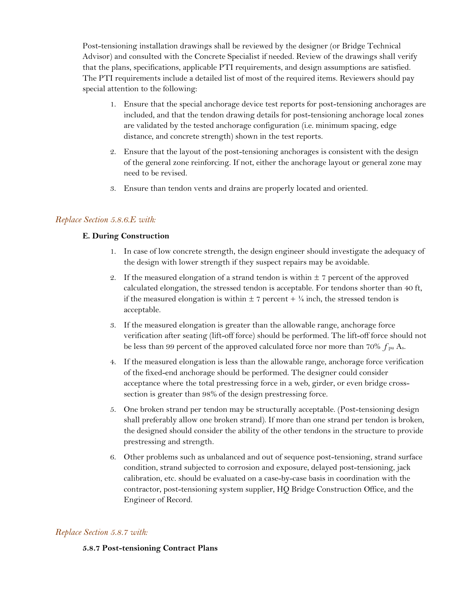Post-tensioning installation drawings shall be reviewed by the designer (or Bridge Technical Advisor) and consulted with the Concrete Specialist if needed. Review of the drawings shall verify that the plans, specifications, applicable PTI requirements, and design assumptions are satisfied. The PTI requirements include a detailed list of most of the required items. Reviewers should pay special attention to the following:

- 1. Ensure that the special anchorage device test reports for post-tensioning anchorages are included, and that the tendon drawing details for post-tensioning anchorage local zones are validated by the tested anchorage configuration (i.e. minimum spacing, edge distance, and concrete strength) shown in the test reports.
- 2. Ensure that the layout of the post-tensioning anchorages is consistent with the design of the general zone reinforcing. If not, either the anchorage layout or general zone may need to be revised.
- 3. Ensure than tendon vents and drains are properly located and oriented.

## *Replace Section 5.8.6.E with:*

### **E. During Construction**

- 1. In case of low concrete strength, the design engineer should investigate the adequacy of the design with lower strength if they suspect repairs may be avoidable.
- 2. If the measured elongation of a strand tendon is within  $\pm$  7 percent of the approved calculated elongation, the stressed tendon is acceptable. For tendons shorter than 40 ft, if the measured elongation is within  $\pm 7$  percent  $+ \frac{1}{4}$  inch, the stressed tendon is acceptable.
- 3. If the measured elongation is greater than the allowable range, anchorage force verification after seating (lift-off force) should be performed. The lift-off force should not be less than 99 percent of the approved calculated force nor more than 70%  $f_{\text{pu}}$  A<sub>s</sub>.
- 4. If the measured elongation is less than the allowable range, anchorage force verification of the fixed-end anchorage should be performed. The designer could consider acceptance where the total prestressing force in a web, girder, or even bridge crosssection is greater than 98% of the design prestressing force.
- 5. One broken strand per tendon may be structurally acceptable. (Post-tensioning design shall preferably allow one broken strand). If more than one strand per tendon is broken, the designed should consider the ability of the other tendons in the structure to provide prestressing and strength.
- 6. Other problems such as unbalanced and out of sequence post-tensioning, strand surface condition, strand subjected to corrosion and exposure, delayed post-tensioning, jack calibration, etc. should be evaluated on a case-by-case basis in coordination with the contractor, post-tensioning system supplier, HQ Bridge Construction Office, and the Engineer of Record.

## *Replace Section 5.8.7 with:*

#### **5.8.7 Post-tensioning Contract Plans**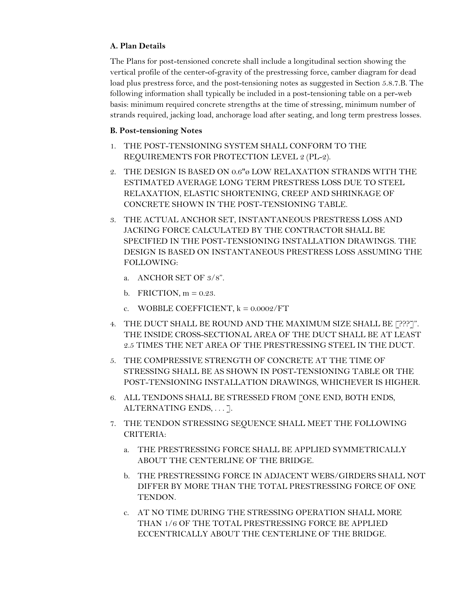## **A. Plan Details**

The Plans for post-tensioned concrete shall include a longitudinal section showing the vertical profile of the center-of-gravity of the prestressing force, camber diagram for dead load plus prestress force, and the post-tensioning notes as suggested in Section 5.8.7.B. The following information shall typically be included in a post-tensioning table on a per-web basis: minimum required concrete strengths at the time of stressing, minimum number of strands required, jacking load, anchorage load after seating, and long term prestress losses.

## **B. Post-tensioning Notes**

- 1. THE POST-TENSIONING SYSTEM SHALL CONFORM TO THE REQUIREMENTS FOR PROTECTION LEVEL 2 (PL-2).
- 2. THE DESIGN IS BASED ON 0.6"ø LOW RELAXATION STRANDS WITH THE ESTIMATED AVERAGE LONG TERM PRESTRESS LOSS DUE TO STEEL RELAXATION, ELASTIC SHORTENING, CREEP AND SHRINKAGE OF CONCRETE SHOWN IN THE POST-TENSIONING TABLE.
- 3. THE ACTUAL ANCHOR SET, INSTANTANEOUS PRESTRESS LOSS AND JACKING FORCE CALCULATED BY THE CONTRACTOR SHALL BE SPECIFIED IN THE POST-TENSIONING INSTALLATION DRAWINGS. THE DESIGN IS BASED ON INSTANTANEOUS PRESTRESS LOSS ASSUMING THE FOLLOWING:
	- a. ANCHOR SET OF 3/8".
	- b. FRICTION,  $m = 0.23$ .
	- c. WOBBLE COEFFICIENT,  $k = 0.0002/FT$
- 4. THE DUCT SHALL BE ROUND AND THE MAXIMUM SIZE SHALL BE [???]". THE INSIDE CROSS-SECTIONAL AREA OF THE DUCT SHALL BE AT LEAST 2.5 TIMES THE NET AREA OF THE PRESTRESSING STEEL IN THE DUCT.
- 5. THE COMPRESSIVE STRENGTH OF CONCRETE AT THE TIME OF STRESSING SHALL BE AS SHOWN IN POST-TENSIONING TABLE OR THE POST-TENSIONING INSTALLATION DRAWINGS, WHICHEVER IS HIGHER.
- 6. ALL TENDONS SHALL BE STRESSED FROM [ONE END, BOTH ENDS, ALTERNATING ENDS, . . . ].
- 7. THE TENDON STRESSING SEQUENCE SHALL MEET THE FOLLOWING CRITERIA:
	- a. THE PRESTRESSING FORCE SHALL BE APPLIED SYMMETRICALLY ABOUT THE CENTERLINE OF THE BRIDGE.
	- b. THE PRESTRESSING FORCE IN ADJACENT WEBS/GIRDERS SHALL NOT DIFFER BY MORE THAN THE TOTAL PRESTRESSING FORCE OF ONE TENDON.
	- c. AT NO TIME DURING THE STRESSING OPERATION SHALL MORE THAN 1/6 OF THE TOTAL PRESTRESSING FORCE BE APPLIED ECCENTRICALLY ABOUT THE CENTERLINE OF THE BRIDGE.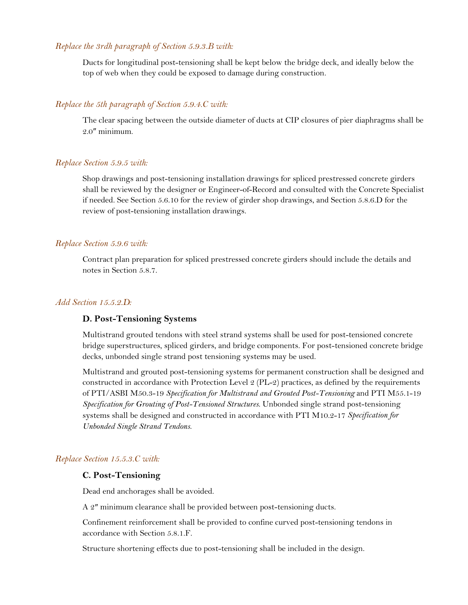## *Replace the 3rdh paragraph of Section 5.9.3.B with:*

Ducts for longitudinal post-tensioning shall be kept below the bridge deck, and ideally below the top of web when they could be exposed to damage during construction.

#### *Replace the 5th paragraph of Section 5.9.4.C with:*

The clear spacing between the outside diameter of ducts at CIP closures of pier diaphragms shall be 2.0″ minimum.

#### *Replace Section 5.9.5 with:*

Shop drawings and post-tensioning installation drawings for spliced prestressed concrete girders shall be reviewed by the designer or Engineer-of-Record and consulted with the Concrete Specialist if needed. See Section 5.6.10 for the review of girder shop drawings, and Section 5.8.6.D for the review of post-tensioning installation drawings.

#### *Replace Section 5.9.6 with:*

Contract plan preparation for spliced prestressed concrete girders should include the details and notes in Section 5.8.7.

#### *Add Section 15.5.2.D:*

#### **D. Post-Tensioning Systems**

Multistrand grouted tendons with steel strand systems shall be used for post-tensioned concrete bridge superstructures, spliced girders, and bridge components. For post-tensioned concrete bridge decks, unbonded single strand post tensioning systems may be used.

Multistrand and grouted post-tensioning systems for permanent construction shall be designed and constructed in accordance with Protection Level 2 (PL-2) practices, as defined by the requirements of PTI/ASBI M50.3-19 *Specification for Multistrand and Grouted Post-Tensioning* and PTI M55.1-19 *Specification for Grouting of Post-Tensioned Structures*. Unbonded single strand post-tensioning systems shall be designed and constructed in accordance with PTI M10.2-17 *Specification for Unbonded Single Strand Tendons*.

## *Replace Section 15.5.3.C with:*

### **C. Post-Tensioning**

Dead end anchorages shall be avoided.

A 2″ minimum clearance shall be provided between post-tensioning ducts.

Confinement reinforcement shall be provided to confine curved post-tensioning tendons in accordance with Section 5.8.1.F.

Structure shortening effects due to post-tensioning shall be included in the design.